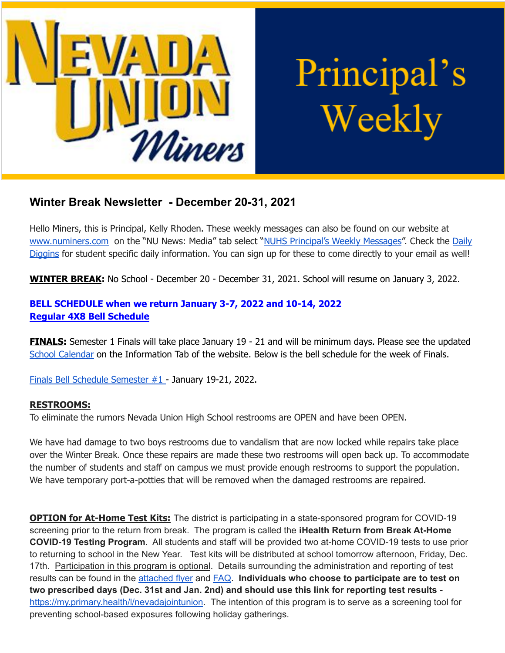

# Principal's Weekly

# **Winter Break Newsletter - December 20-31, 2021**

Hello Miners, this is Principal, Kelly Rhoden. These weekly messages can also be found on our website at [www.numiners.com](http://www.numiners.com) on the "NU News: Media" tab select "NUHS [Principal's](https://nevadaunion.njuhsd.com/NU-NewsMedia/NUHS-Principals-Weekly-Messages/index.html) Weekly Messages". Check the [Daily](https://nevadaunion.njuhsd.com/NU-NewsMedia/Daily-Diggins-Bulletin/index.html) [Diggins](https://nevadaunion.njuhsd.com/NU-NewsMedia/Daily-Diggins-Bulletin/index.html) for student specific daily information. You can sign up for these to come directly to your email as well!

**WINTER BREAK:** No School - December 20 - December 31, 2021. School will resume on January 3, 2022.

### **BELL SCHEDULE when we return January 3-7, 2022 and 10-14, 2022 Regular 4X8 Bell [Schedule](https://nevadaunion.njuhsd.com/documents/Bell%20Schedules/Bell-Schedule-2021-2022-NUHS-4x8.pdf)**

**FINALS:** Semester 1 Finals will take place January 19 - 21 and will be minimum days. Please see the updated School [Calendar](https://nevadaunion.njuhsd.com/Information/Calendar-School-Year-2021-2022/index.html) on the Information Tab of the website. Below is the bell schedule for the week of Finals.

Finals Bell Schedule [Semester](https://nevadaunion.njuhsd.com/documents/Bell%20Schedules/Finals-Fall-2021-22.pdf) #1 - January 19-21, 2022.

#### **RESTROOMS:**

To eliminate the rumors Nevada Union High School restrooms are OPEN and have been OPEN.

We have had damage to two boys restrooms due to vandalism that are now locked while repairs take place over the Winter Break. Once these repairs are made these two restrooms will open back up. To accommodate the number of students and staff on campus we must provide enough restrooms to support the population. We have temporary port-a-potties that will be removed when the damaged restrooms are repaired.

**OPTION for At-Home Test Kits:** The district is participating in a state-sponsored program for COVID-19 screening prior to the return from break. The program is called the **iHealth Return from Break At-Home COVID-19 Testing Program**. All students and staff will be provided two at-home COVID-19 tests to use prior to returning to school in the New Year. Test kits will be distributed at school tomorrow afternoon, Friday, Dec. 17th. Participation in this program is optional. Details surrounding the administration and reporting of test results can be found in the [attached](http://track.spe.schoolmessenger.com/f/a/FMesKstZftfAen0FUA_tpg~~/AAAAAQA~/RgRjnQClP0R1aHR0cHM6Ly9tc2cuc2Nob29sbWVzc2VuZ2VyLmNvbS9tLz9zPUxUYU1mT3JjSmtJJm1hbD1iMmU3ZGJlNGUyZjc5MzA0NmZjYTg3OGMzZjgyZjJjNmMyMTAxZWZmOGNjYmQ4ZDY0MjRlZTAzNDEzZmFkNWQzVwdzY2hvb2xtQgphuyXNu2E5QWI-UhJkc29nZGVuQG5qdWhzZC5jb21YBAAAAAE~) flyer and [FAQ](http://track.spe.schoolmessenger.com/f/a/oiGDDPZ65DzdUdVcm_ALjw~~/AAAAAQA~/RgRjnQClP0R1aHR0cHM6Ly9tc2cuc2Nob29sbWVzc2VuZ2VyLmNvbS9tLz9zPUxUYU1mT3JjSmtJJm1hbD1iNDIzZjI5OGM2OTkzZmVjNzY5Y2ZhZTRiMjgzODBmYTViZTc3NzYzYTEwMjA4Y2YxNTNlOWRjOGE2OWZiZmFjVwdzY2hvb2xtQgphuyXNu2E5QWI-UhJkc29nZGVuQG5qdWhzZC5jb21YBAAAAAE~). **Individuals who choose to participate are to test on two prescribed days (Dec. 31st and Jan. 2nd) and should use this link for reporting test results**  [https://my.primary.health/l/nevadajointunion](http://track.spe.schoolmessenger.com/f/a/hE4Hfd9dznH2FOmfLu-vlw~~/AAAAAQA~/RgRjnQClP0QsaHR0cHM6Ly9teS5wcmltYXJ5LmhlYWx0aC9sL25ldmFkYWpvaW50dW5pb25XB3NjaG9vbG1CCmG7Jc27YTlBYj5SEmRzb2dkZW5Abmp1aHNkLmNvbVgEAAAAAQ~~). The intention of this program is to serve as a screening tool for preventing school-based exposures following holiday gatherings.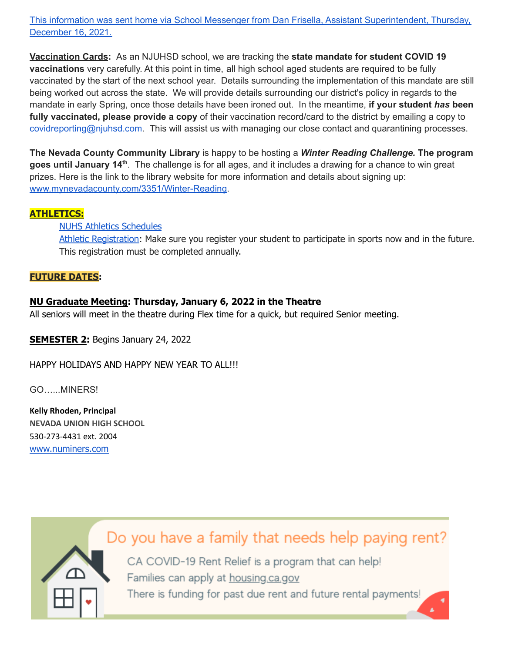This information was sent home via School Messenger from Dan Frisella, Assistant [Superintendent,](https://announcements.catapultcms.com/utilities/DownloadFile.ashx?cadocumentguid=c19b6e787308450cad42682b55b74048) Thursday, [December](https://announcements.catapultcms.com/utilities/DownloadFile.ashx?cadocumentguid=c19b6e787308450cad42682b55b74048) 16, 2021.

**Vaccination Cards:** As an NJUHSD school, we are tracking the **state mandate for student COVID 19 vaccinations** very carefully. At this point in time, all high school aged students are required to be fully vaccinated by the start of the next school year. Details surrounding the implementation of this mandate are still being worked out across the state. We will provide details surrounding our district's policy in regards to the mandate in early Spring, once those details have been ironed out. In the meantime, **if your student** *has* **been fully vaccinated, please provide a copy** of their vaccination record/card to the district by emailing a copy to covidreporting@njuhsd.com. This will assist us with managing our close contact and quarantining processes.

**The Nevada County Community Library** is happy to be hosting a *Winter Reading Challenge.* **The program** goes until January 14<sup>th</sup>. The challenge is for all ages, and it includes a drawing for a chance to win great prizes. Here is the link to the library website for more information and details about signing up: [www.mynevadacounty.com/3351/Winter-Reading](https://us-west-2.protection.sophos.com/?d=mynevadacounty.com&u=aHR0cDovL3d3dy5teW5ldmFkYWNvdW50eS5jb20vMzM1MS9XaW50ZXItUmVhZGluZw==&i=NjExNDMyNTU1NTQ0MzkwZjVmOGQyYzA2&t=TVRVRjhPYUNtaGphYUVKVUdkakZMaWpsZkVIaU4wdnYxMVRWR2JtcVV5Yz0=&h=f64268aeab4e43d2ad2e7a41b6372436).

#### **ATHLETICS:**

#### NUHS Athletics [Schedules](https://nevadaunion.njuhsd.com/Athletics/Sports-Calendar--Schedules/index.html)

Athletic [Registration:](https://nevadaunion.njuhsd.com/Athletics/How-to-Register-For-a-Sport/index.html) Make sure you register your student to participate in sports now and in the future. This registration must be completed annually.

#### **FUTURE DATES:**

#### **NU Graduate Meeting: Thursday, January 6, 2022 in the Theatre**

All seniors will meet in the theatre during Flex time for a quick, but required Senior meeting.

**SEMESTER 2:** Begins January 24, 2022

HAPPY HOLIDAYS AND HAPPY NEW YEAR TO ALL!!!

GO…...MINERS!

**Kelly Rhoden, Principal NEVADA UNION HIGH SCHOOL** 530-273-4431 ext. 2004 [www.numiners.com](http://www.numiners.com/)

Do you have a family that needs help paying rent?

CA COVID-19 Rent Relief is a program that can help! Families can apply at housing.ca.gov There is funding for past due rent and future rental payments!